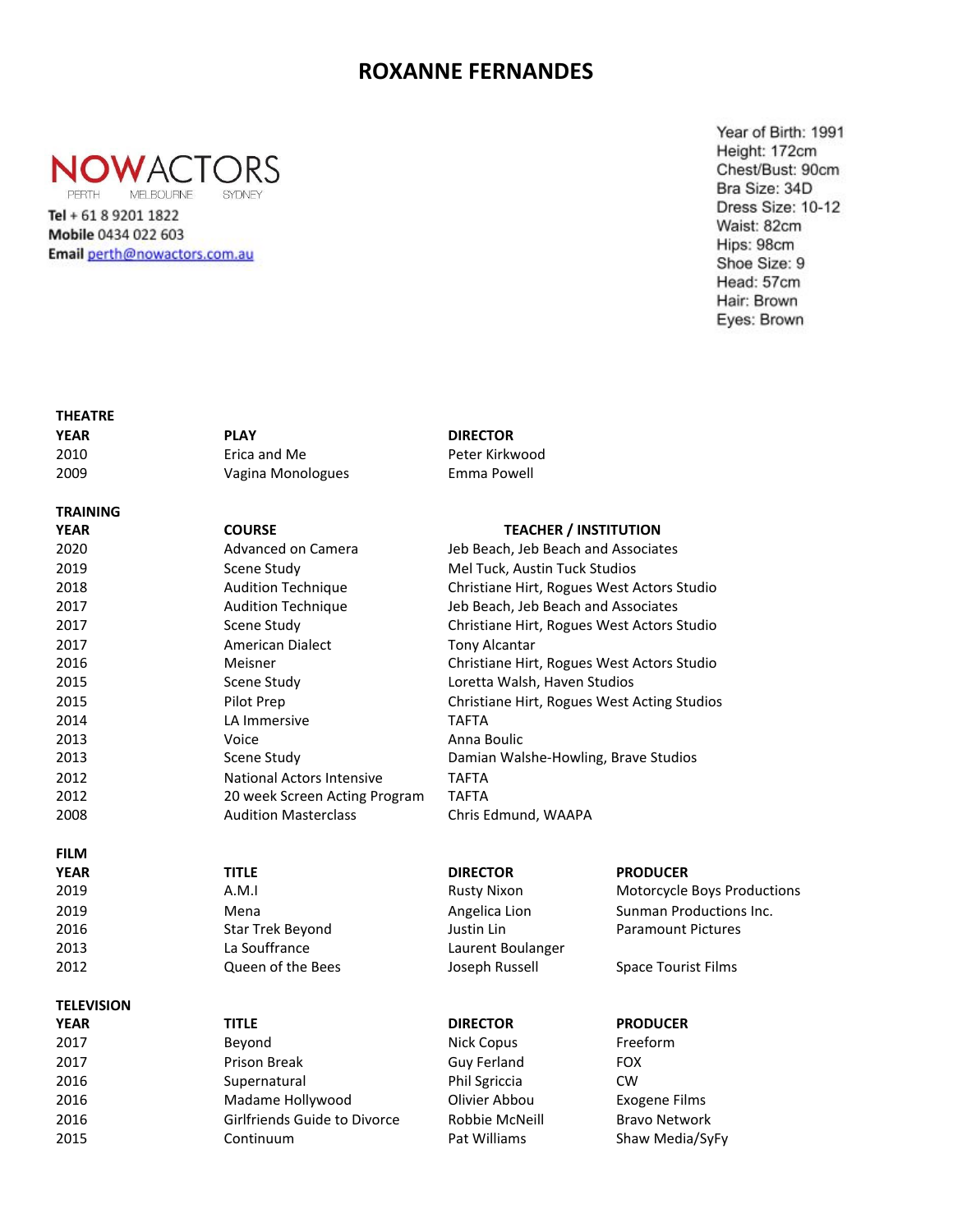## **ROXANNE FERNANDES**



MELBOURNE SYDNEY

Tel + 61 8 9201 1822 Mobile 0434 022 603 Email perth@nowactors.com.au Year of Birth: 1991 Height: 172cm Chest/Bust: 90cm Bra Size: 34D Dress Size: 10-12 Waist: 82cm Hips: 98cm Shoe Size: 9 Head: 57cm Hair: Brown Eyes: Brown

| <b>THEATRE</b>    |                               |                                             |                             |
|-------------------|-------------------------------|---------------------------------------------|-----------------------------|
| <b>YEAR</b>       | <b>PLAY</b>                   | <b>DIRECTOR</b>                             |                             |
| 2010              | Erica and Me                  | Peter Kirkwood                              |                             |
| 2009              | Vagina Monologues             | Emma Powell                                 |                             |
| <b>TRAINING</b>   |                               |                                             |                             |
| <b>YEAR</b>       | <b>COURSE</b>                 | <b>TEACHER / INSTITUTION</b>                |                             |
| 2020              | Advanced on Camera            | Jeb Beach, Jeb Beach and Associates         |                             |
| 2019              | Scene Study                   | Mel Tuck, Austin Tuck Studios               |                             |
| 2018              | <b>Audition Technique</b>     | Christiane Hirt, Rogues West Actors Studio  |                             |
| 2017              | <b>Audition Technique</b>     | Jeb Beach, Jeb Beach and Associates         |                             |
| 2017              | Scene Study                   | Christiane Hirt, Rogues West Actors Studio  |                             |
| 2017              | American Dialect              | <b>Tony Alcantar</b>                        |                             |
| 2016              | Meisner                       | Christiane Hirt, Rogues West Actors Studio  |                             |
| 2015              | Scene Study                   | Loretta Walsh, Haven Studios                |                             |
| 2015              | Pilot Prep                    | Christiane Hirt, Rogues West Acting Studios |                             |
| 2014              | LA Immersive                  | <b>TAFTA</b>                                |                             |
| 2013              | Voice                         | Anna Boulic                                 |                             |
| 2013              | Scene Study                   | Damian Walshe-Howling, Brave Studios        |                             |
| 2012              | National Actors Intensive     | <b>TAFTA</b>                                |                             |
| 2012              | 20 week Screen Acting Program | <b>TAFTA</b>                                |                             |
| 2008              | <b>Audition Masterclass</b>   | Chris Edmund, WAAPA                         |                             |
| <b>FILM</b>       |                               |                                             |                             |
| <b>YEAR</b>       | <b>TITLE</b>                  | <b>DIRECTOR</b>                             | <b>PRODUCER</b>             |
| 2019              | A.M.I                         | <b>Rusty Nixon</b>                          | Motorcycle Boys Productions |
| 2019              | Mena                          | Angelica Lion                               | Sunman Productions Inc.     |
| 2016              | <b>Star Trek Beyond</b>       | Justin Lin                                  | <b>Paramount Pictures</b>   |
| 2013              | La Souffrance                 | Laurent Boulanger                           |                             |
| 2012              | Queen of the Bees             | Joseph Russell                              | <b>Space Tourist Films</b>  |
| <b>TELEVISION</b> |                               |                                             |                             |
| <b>YEAR</b>       | <b>TITLE</b>                  | <b>DIRECTOR</b>                             | <b>PRODUCER</b>             |
| 2017              | Beyond                        | <b>Nick Copus</b>                           | Freeform                    |
| 2017              | Prison Break                  | <b>Guy Ferland</b>                          | <b>FOX</b>                  |
| 2016              | Supernatural                  | Phil Sgriccia                               | <b>CW</b>                   |
| 2016              | Madame Hollywood              | Olivier Abbou                               | <b>Exogene Films</b>        |
| 2016              | Girlfriends Guide to Divorce  | Robbie McNeill                              | <b>Bravo Network</b>        |
| 2015              | Continuum                     | Pat Williams                                | Shaw Media/SyFy             |
|                   |                               |                                             |                             |